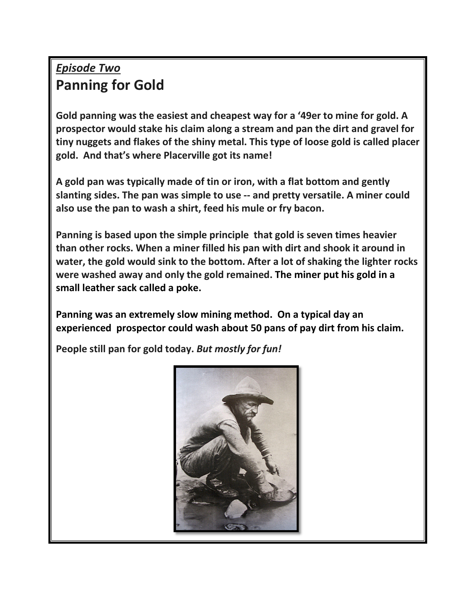## *Episode Two* **Panning for Gold**

**Gold panning was the easiest and cheapest way for a '49er to mine for gold. A prospector would stake his claim along a stream and pan the dirt and gravel for tiny nuggets and flakes of the shiny metal. This type of loose gold is called placer gold. And that's where Placerville got its name!**

**A gold pan was typically made of tin or iron, with a flat bottom and gently slanting sides. The pan was simple to use -- and pretty versatile. A miner could also use the pan to wash a shirt, feed his mule or fry bacon.** 

**Panning is based upon the simple principle that gold is seven times heavier than other rocks. When a miner filled his pan with dirt and shook it around in water, the gold would sink to the bottom. After a lot of shaking the lighter rocks were washed away and only the gold remained. The miner put his gold in a small leather sack called a poke.** 

**Panning was an extremely slow mining method. On a typical day an experienced prospector could wash about 50 pans of pay dirt from his claim.**

**People still pan for gold today.** *But mostly for fun!*

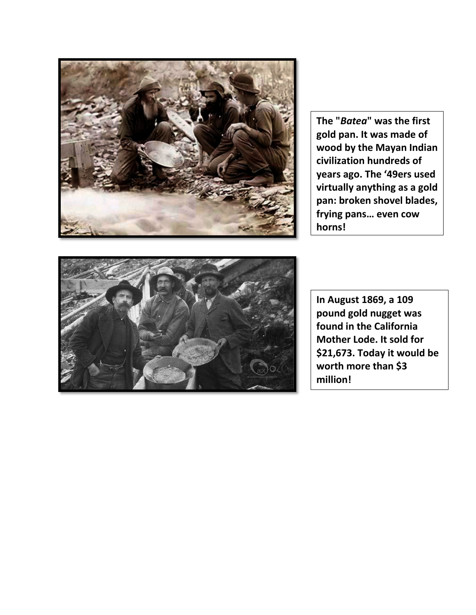

**The "***Batea***" was the first gold pan. It was made of wood by the Mayan Indian civilization hundreds of years ago. The '49ers used virtually anything as a gold pan: broken shovel blades, frying pans… even cow horns!** 



**In August 1869, a 109 pound gold nugget was found in the California Mother Lode. It sold for \$21,673. Today it would be worth more than \$3 million!**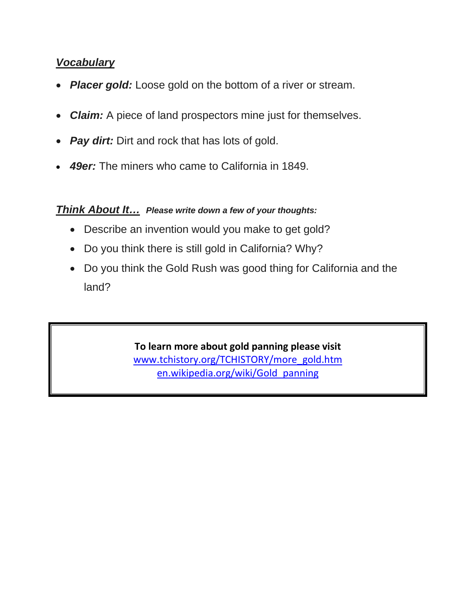## *Vocabulary*

- *Placer gold:* Loose gold on the bottom of a river or stream.
- *Claim:* A piece of land prospectors mine just for themselves.
- *Pay dirt:* Dirt and rock that has lots of gold.
- *49er:* The miners who came to California in 1849.

## *Think About It… Please write down a few of your thoughts:*

- Describe an invention would you make to get gold?
- Do you think there is still gold in California? Why?
- Do you think the Gold Rush was good thing for California and the land?

**To learn more about gold panning please visit** [www.tchistory.org/TCHISTORY/more\\_gold.htm](http://www.tchistory.org/TCHISTORY/more_gold.htm) [en.wikipedia.org/wiki/Gold\\_panning](https://en.wikipedia.org/wiki/Gold_panning)